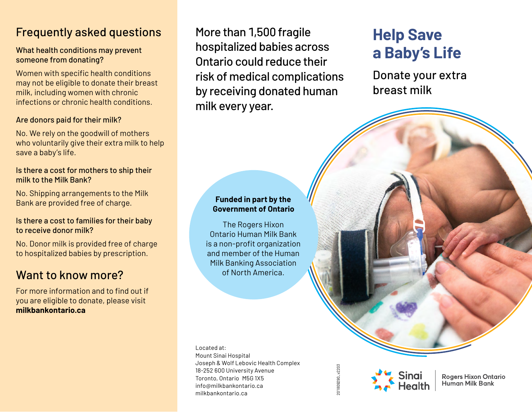# Frequently asked questions

#### What health conditions may prevent someone from donating?

Women with specific health conditions may not be eligible to donate their breast milk, including women with chronic infections or chronic health conditions.

#### Are donors paid for their milk?

No. We rely on the goodwill of mothers who voluntarily give their extra milk to help save a baby's life.

#### Is there a cost for mothers to ship their milk to the Milk Bank?

No. Shipping arrangements to the Milk Bank are provided free of charge.

#### Is there a cost to families for their baby to receive donor milk?

No. Donor milk is provided free of charge to hospitalized babies by prescription.

# Want to know more?

For more information and to find out if you are eligible to donate, please visit **milkbankontario.ca**

More than 1,500 fragile hospitalized babies across Ontario could reduce their risk of medical complications by receiving donated human milk every year.

# **Help Save a Baby's Life**

Donate your extra breast milk

#### **Funded in part by the Government of Ontario**

The Rogers Hixon Ontario Human Milk Bank is a non-profit organization and member of the Human Milk Banking Association of North America.

Located at: Mount Sinai Hospital Joseph & Wolf Lebovic Health Complex 18-252 600 University Avenue Toronto, Ontario M5G 1X5 info@milkbankontario.ca milkbankontario.ca

201809290\_v2203 201809290\_v2203



**Rogers Hixon Ontario Human Milk Bank**